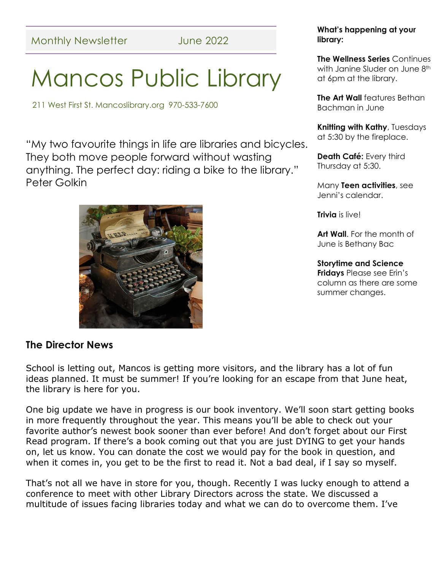# Mancos Public Library

211 West First St. Mancoslibrary.org 970-533-7600

"My two favourite things in life are libraries and bicycles. They both move people forward without wasting anything. The perfect day: riding a bike to the library." Peter Golkin



### **The Director News**

School is letting out, Mancos is getting more visitors, and the library has a lot of fun ideas planned. It must be summer! If you're looking for an escape from that June heat, the library is here for you.

One big update we have in progress is our book inventory. We'll soon start getting books in more frequently throughout the year. This means you'll be able to check out your favorite author's newest book sooner than ever before! And don't forget about our First Read program. If there's a book coming out that you are just DYING to get your hands on, let us know. You can donate the cost we would pay for the book in question, and when it comes in, you get to be the first to read it. Not a bad deal, if I say so myself.

That's not all we have in store for you, though. Recently I was lucky enough to attend a conference to meet with other Library Directors across the state. We discussed a multitude of issues facing libraries today and what we can do to overcome them. I've

### **What's happening at your library:**

**The Wellness Series** Continues with Janine Sluder on June 8<sup>th</sup> at 6pm at the library.

**The Art Wall** features Bethan Bachman in June

**Knitting with Kathy**, Tuesdays at 5:30 by the fireplace.

**Death Café:** Every third Thursday at 5:30.

Many **Teen activities**, see Jenni's calendar.

**Trivia** is live!

**Art Wall**. For the month of June is Bethany Bac

#### **Storytime and Science Fridays** Please see Erin's column as there are some summer changes.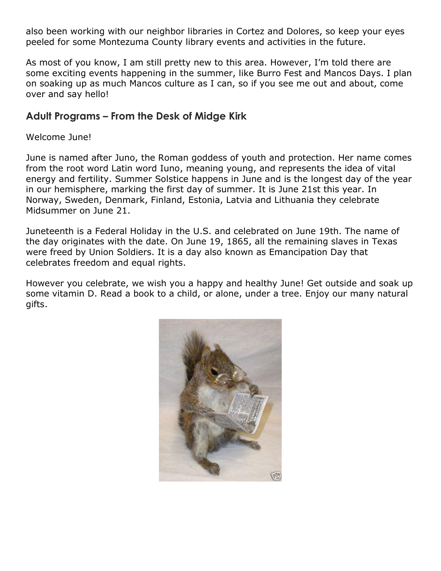also been working with our neighbor libraries in Cortez and Dolores, so keep your eyes peeled for some Montezuma County library events and activities in the future.

As most of you know, I am still pretty new to this area. However, I'm told there are some exciting events happening in the summer, like Burro Fest and Mancos Days. I plan on soaking up as much Mancos culture as I can, so if you see me out and about, come over and say hello!

### **Adult Programs – From the Desk of Midge Kirk**

### Welcome June!

June is named after Juno, the Roman goddess of youth and protection. Her name comes from the root word Latin word Iuno, meaning young, and represents the idea of vital energy and fertility. Summer Solstice happens in June and is the longest day of the year in our hemisphere, marking the first day of summer. It is June 21st this year. In Norway, Sweden, Denmark, Finland, Estonia, Latvia and Lithuania they celebrate Midsummer on June 21.

Juneteenth is a Federal Holiday in the U.S. and celebrated on June 19th. The name of the day originates with the date. On June 19, 1865, all the remaining slaves in Texas were freed by Union Soldiers. It is a day also known as Emancipation Day that celebrates freedom and equal rights.

However you celebrate, we wish you a happy and healthy June! Get outside and soak up some vitamin D. Read a book to a child, or alone, under a tree. Enjoy our many natural gifts.

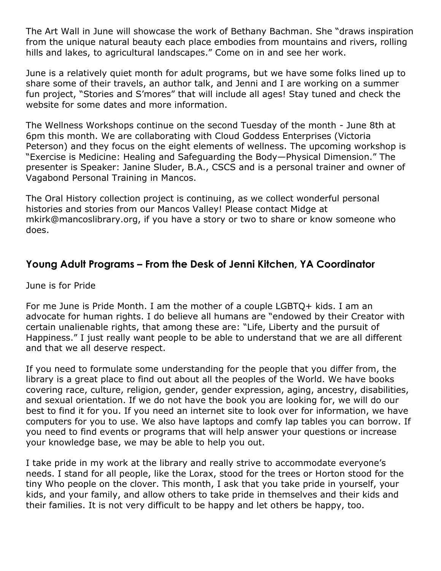The Art Wall in June will showcase the work of Bethany Bachman. She "draws inspiration from the unique natural beauty each place embodies from mountains and rivers, rolling hills and lakes, to agricultural landscapes." Come on in and see her work.

June is a relatively quiet month for adult programs, but we have some folks lined up to share some of their travels, an author talk, and Jenni and I are working on a summer fun project, "Stories and S'mores" that will include all ages! Stay tuned and check the website for some dates and more information.

The Wellness Workshops continue on the second Tuesday of the month - June 8th at 6pm this month. We are collaborating with Cloud Goddess Enterprises (Victoria Peterson) and they focus on the eight elements of wellness. The upcoming workshop is "Exercise is Medicine: Healing and Safeguarding the Body—Physical Dimension." The presenter is Speaker: Janine Sluder, B.A., CSCS and is a personal trainer and owner of Vagabond Personal Training in Mancos.

The Oral History collection project is continuing, as we collect wonderful personal histories and stories from our Mancos Valley! Please contact Midge at mkirk@mancoslibrary.org, if you have a story or two to share or know someone who does.

### **Young Adult Programs – From the Desk of Jenni Kitchen, YA Coordinator**

June is for Pride

For me June is Pride Month. I am the mother of a couple LGBTQ+ kids. I am an advocate for human rights. I do believe all humans are "endowed by their Creator with certain unalienable rights, that among these are: "Life, Liberty and the pursuit of Happiness." I just really want people to be able to understand that we are all different and that we all deserve respect.

If you need to formulate some understanding for the people that you differ from, the library is a great place to find out about all the peoples of the World. We have books covering race, culture, religion, gender, gender expression, aging, ancestry, disabilities, and sexual orientation. If we do not have the book you are looking for, we will do our best to find it for you. If you need an internet site to look over for information, we have computers for you to use. We also have laptops and comfy lap tables you can borrow. If you need to find events or programs that will help answer your questions or increase your knowledge base, we may be able to help you out.

I take pride in my work at the library and really strive to accommodate everyone's needs. I stand for all people, like the Lorax, stood for the trees or Horton stood for the tiny Who people on the clover. This month, I ask that you take pride in yourself, your kids, and your family, and allow others to take pride in themselves and their kids and their families. It is not very difficult to be happy and let others be happy, too.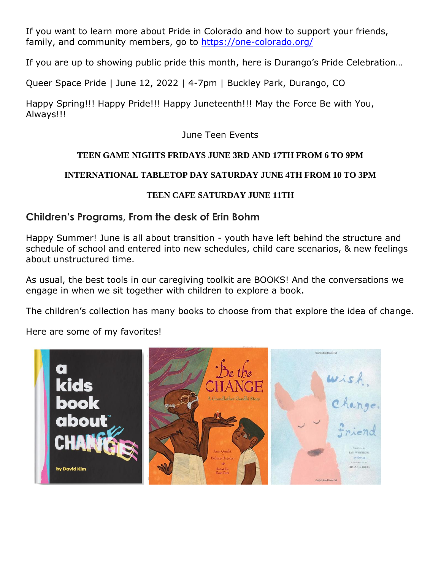If you want to learn more about Pride in Colorado and how to support your friends, family, and community members, go to<https://one-colorado.org/>

If you are up to showing public pride this month, here is Durango's Pride Celebration…

Queer Space Pride | June 12, 2022 | 4-7pm | Buckley Park, Durango, CO

Happy Spring!!! Happy Pride!!! Happy Juneteenth!!! May the Force Be with You, Always!!!

June Teen Events

### **TEEN GAME NIGHTS FRIDAYS JUNE 3RD AND 17TH FROM 6 TO 9PM**

### **INTERNATIONAL TABLETOP DAY SATURDAY JUNE 4TH FROM 10 TO 3PM**

### **TEEN CAFE SATURDAY JUNE 11TH**

### **Children's Programs, From the desk of Erin Bohm**

Happy Summer! June is all about transition - youth have left behind the structure and schedule of school and entered into new schedules, child care scenarios, & new feelings about unstructured time.

As usual, the best tools in our caregiving toolkit are BOOKS! And the conversations we engage in when we sit together with children to explore a book.

The children's collection has many books to choose from that explore the idea of change.

Here are some of my favorites!

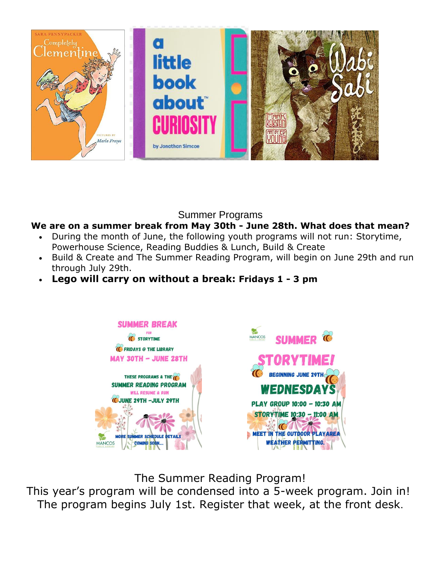

Summer Programs

### **We are on a summer break from May 30th - June 28th. What does that mean?**

- During the month of June, the following youth programs will not run: Storytime, Powerhouse Science, Reading Buddies & Lunch, Build & Create
- Build & Create and The Summer Reading Program, will begin on June 29th and run through July 29th.
- **Lego will carry on without a break: Fridays 1 - 3 pm**



The Summer Reading Program!

This year's program will be condensed into a 5-week program. Join in! The program begins July 1st. Register that week, at the front desk.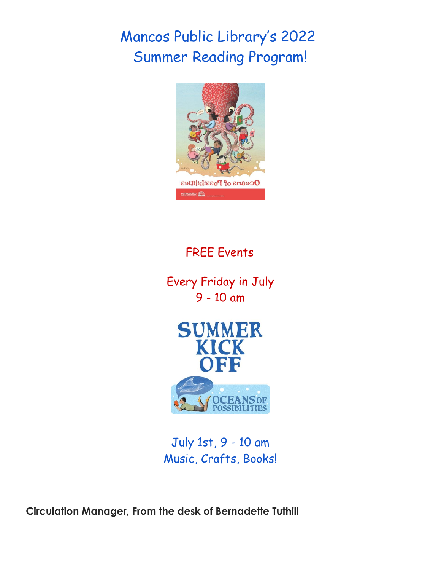# Mancos Public Library's 2022 Summer Reading Program!



# FREE Events

Every Friday in July 9 - 10 am



July 1st, 9 - 10 am Music, Crafts, Books!

**Circulation Manager, From the desk of Bernadette Tuthill**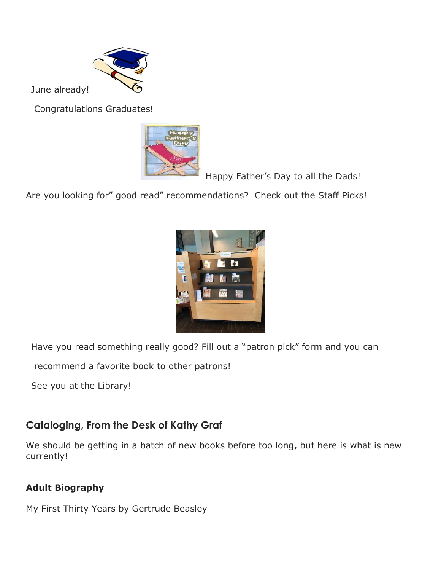

June already!

Congratulations Graduates!



Happy Father's Day to all the Dads!

Are you looking for" good read" recommendations? Check out the Staff Picks!



Have you read something really good? Fill out a "patron pick" form and you can

recommend a favorite book to other patrons!

See you at the Library!

# **Cataloging, From the Desk of Kathy Graf**

We should be getting in a batch of new books before too long, but here is what is new currently!

# **Adult Biography**

My First Thirty Years by Gertrude Beasley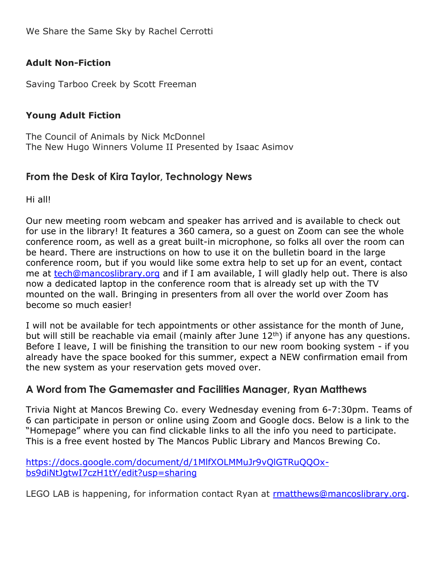### **Adult Non-Fiction**

Saving Tarboo Creek by Scott Freeman

### **Young Adult Fiction**

The Council of Animals by Nick McDonnel The New Hugo Winners Volume II Presented by Isaac Asimov

### **From the Desk of Kira Taylor, Technology News**

Hi all!

Our new meeting room webcam and speaker has arrived and is available to check out for use in the library! It features a 360 camera, so a guest on Zoom can see the whole conference room, as well as a great built-in microphone, so folks all over the room can be heard. There are instructions on how to use it on the bulletin board in the large conference room, but if you would like some extra help to set up for an event, contact me at [tech@](mailto:tech@mancoslibrary.org)[mancoslibrary.org](/Users/margaretkirk/Desktop/Newsletters%20/mancoslibrary.org) and if I am available, I will gladly help out. There is also now a dedicated laptop in the conference room that is already set up with the TV mounted on the wall. Bringing in presenters from all over the world over Zoom has become so much easier!

I will not be available for tech appointments or other assistance for the month of June, but will still be reachable via email (mainly after June  $12<sup>th</sup>$ ) if anyone has any questions. Before I leave, I will be finishing the transition to our new room booking system - if you already have the space booked for this summer, expect a NEW confirmation email from the new system as your reservation gets moved over.

# **A Word from The Gamemaster and Facilities Manager, Ryan Matthews**

Trivia Night at Mancos Brewing Co. every Wednesday evening from 6-7:30pm. Teams of 6 can participate in person or online using Zoom and Google docs. Below is a link to the "Homepage" where you can find clickable links to all the info you need to participate. This is a free event hosted by The Mancos Public Library and Mancos Brewing Co.

[https://docs.google.com/document/d/1MlfXOLMMuJr9vQlGTRuQQOx](https://docs.google.com/document/d/1MlfXOLMMuJr9vQlGTRuQQOx-bs9diNtJgtwI7czH1tY/edit?usp=sharing)[bs9diNtJgtwI7czH1tY/edit?usp=sharing](https://docs.google.com/document/d/1MlfXOLMMuJr9vQlGTRuQQOx-bs9diNtJgtwI7czH1tY/edit?usp=sharing)

LEGO LAB is happening, for information contact Ryan at **rmatthews@mancoslibrary.org**.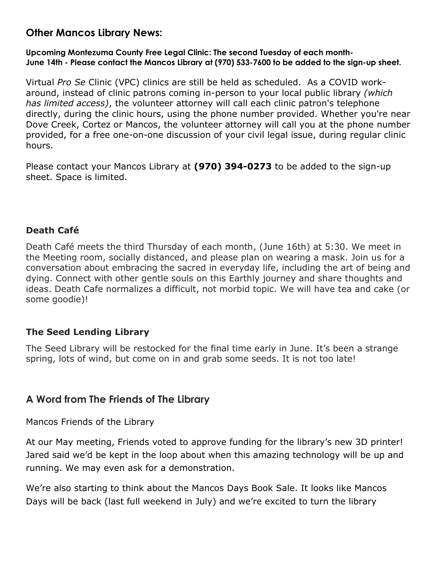# **Other Mancos Library News:**

### **Upcoming Montezuma County Free Legal Clinic: The second Tuesday of each month-June 14th - Please contact the Mancos Library at (970) 533-7600 to be added to the sign-up sheet.**

Virtual *Pro Se* Clinic (VPC) clinics are still be held as scheduled. As a COVID workaround, instead of clinic patrons coming in-person to your local public library *(which has limited access)*, the volunteer attorney will call each clinic patron's telephone directly, during the clinic hours, using the phone number provided. Whether you're near Dove Creek, Cortez or Mancos, the volunteer attorney will call you at the phone number provided, for a free one-on-one discussion of your civil legal issue, during regular clinic hours.

Please contact your Mancos Library at **(970) 394-0273** to be added to the sign-up sheet. Space is limited.

### **Death Café**

Death Café meets the third Thursday of each month, (June 16th) at 5:30. We meet in the Meeting room, socially distanced, and please plan on wearing a mask. Join us for a conversation about embracing the sacred in everyday life, including the art of being and dying. Connect with other gentle souls on this Earthly journey and share thoughts and ideas. Death Cafe normalizes a difficult, not morbid topic. We will have tea and cake (or some goodie)!

### **The Seed Lending Library**

The Seed Library will be restocked for the final time early in June. It's been a strange spring, lots of wind, but come on in and grab some seeds. It is not too late!

# **A Word from The Friends of The Library**

Mancos Friends of the Library

At our May meeting, Friends voted to approve funding for the library's new 3D printer! Jared said we'd be kept in the loop about when this amazing technology will be up and running. We may even ask for a demonstration.

We're also starting to think about the Mancos Days Book Sale. It looks like Mancos Days will be back (last full weekend in July) and we're excited to turn the library